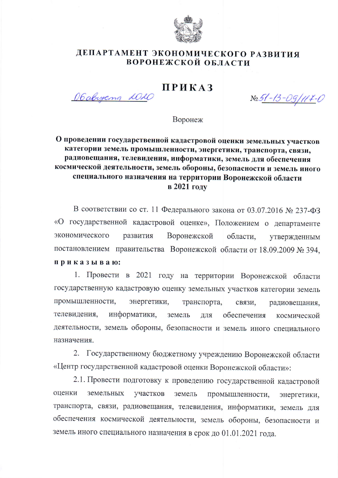

## ДЕПАРТАМЕНТ ЭКОНОМИЧЕСКОГО РАЗВИТИЯ ВОРОНЕЖСКОЙ ОБЛАСТИ

## ПРИКАЗ

Obabycna 2020

N<u>o 51-13-09/117-</u>0

Воронеж

## О проведении государственной кадастровой оценки земельных участков категории земель промышленности, энергетики, транспорта, связи, радиовещания, телевидения, информатики, земель для обеспечения космической деятельности, земель обороны, безопасности и земель иного специального назначения на территории Воронежской области в 2021 году

В соответствии со ст. 11 Федерального закона от 03.07.2016 № 237-ФЗ «О государственной кадастровой оценке», Положением о департаменте экономического развития Воронежской области. утвержденным постановлением правительства Воронежской области от 18.09.2009 № 394, приказываю:

1. Провести в 2021 году на территории Воронежской области государственную кадастровую оценку земельных участков категории земель промышленности, энергетики, транспорта, связи. радиовещания, телевидения. информатики, земель обеспечения ДЛЯ космической деятельности, земель обороны, безопасности и земель иного специального назначения.

2. Государственному бюджетному учреждению Воронежской области «Центр государственной кадастровой оценки Воронежской области»:

2.1. Провести подготовку к проведению государственной кадастровой оценки земельных участков земель промышленности, энергетики. транспорта, связи, радиовещания, телевидения, информатики, земель для обеспечения космической деятельности, земель обороны, безопасности и земель иного специального назначения в срок до 01.01.2021 года.